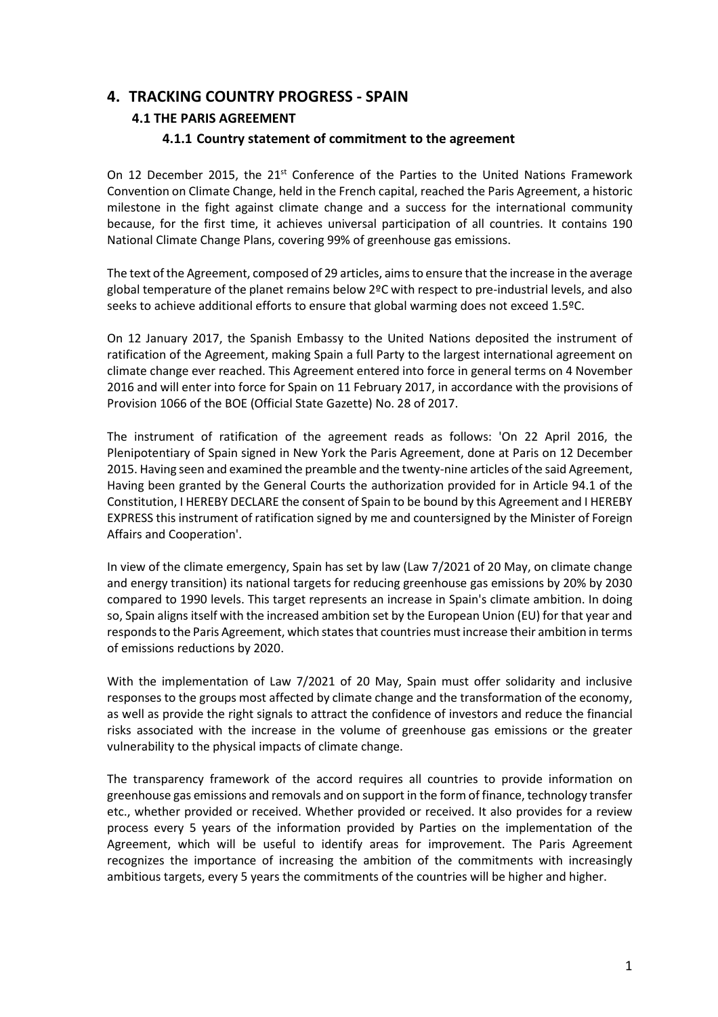# **4. TRACKING COUNTRY PROGRESS - SPAIN**

### **4.1 THE PARIS AGREEMENT**

### **4.1.1 Country statement of commitment to the agreement**

On 12 December 2015, the 21<sup>st</sup> Conference of the Parties to the United Nations Framework Convention on Climate Change, held in the French capital, reached the Paris Agreement, a historic milestone in the fight against climate change and a success for the international community because, for the first time, it achieves universal participation of all countries. It contains 190 National Climate Change Plans, covering 99% of greenhouse gas emissions.

The text of the Agreement, composed of 29 articles, aims to ensure that the increase in the average global temperature of the planet remains below 2ºC with respect to pre-industrial levels, and also seeks to achieve additional efforts to ensure that global warming does not exceed 1.5ºC.

On 12 January 2017, the Spanish Embassy to the United Nations deposited the instrument of ratification of the Agreement, making Spain a full Party to the largest international agreement on climate change ever reached. This Agreement entered into force in general terms on 4 November 2016 and will enter into force for Spain on 11 February 2017, in accordance with the provisions of Provision 1066 of the BOE (Official State Gazette) No. 28 of 2017.

The instrument of ratification of the agreement reads as follows: 'On 22 April 2016, the Plenipotentiary of Spain signed in New York the Paris Agreement, done at Paris on 12 December 2015. Having seen and examined the preamble and the twenty-nine articles of the said Agreement, Having been granted by the General Courts the authorization provided for in Article 94.1 of the Constitution, I HEREBY DECLARE the consent of Spain to be bound by this Agreement and I HEREBY EXPRESS this instrument of ratification signed by me and countersigned by the Minister of Foreign Affairs and Cooperation'.

In view of the climate emergency, Spain has set by law (Law 7/2021 of 20 May, on climate change and energy transition) its national targets for reducing greenhouse gas emissions by 20% by 2030 compared to 1990 levels. This target represents an increase in Spain's climate ambition. In doing so, Spain aligns itself with the increased ambition set by the European Union (EU) for that year and responds to the Paris Agreement, which states that countries must increase their ambition in terms of emissions reductions by 2020.

With the implementation of Law 7/2021 of 20 May, Spain must offer solidarity and inclusive responses to the groups most affected by climate change and the transformation of the economy, as well as provide the right signals to attract the confidence of investors and reduce the financial risks associated with the increase in the volume of greenhouse gas emissions or the greater vulnerability to the physical impacts of climate change.

The transparency framework of the accord requires all countries to provide information on greenhouse gas emissions and removals and on support in the form of finance, technology transfer etc., whether provided or received. Whether provided or received. It also provides for a review process every 5 years of the information provided by Parties on the implementation of the Agreement, which will be useful to identify areas for improvement. The Paris Agreement recognizes the importance of increasing the ambition of the commitments with increasingly ambitious targets, every 5 years the commitments of the countries will be higher and higher.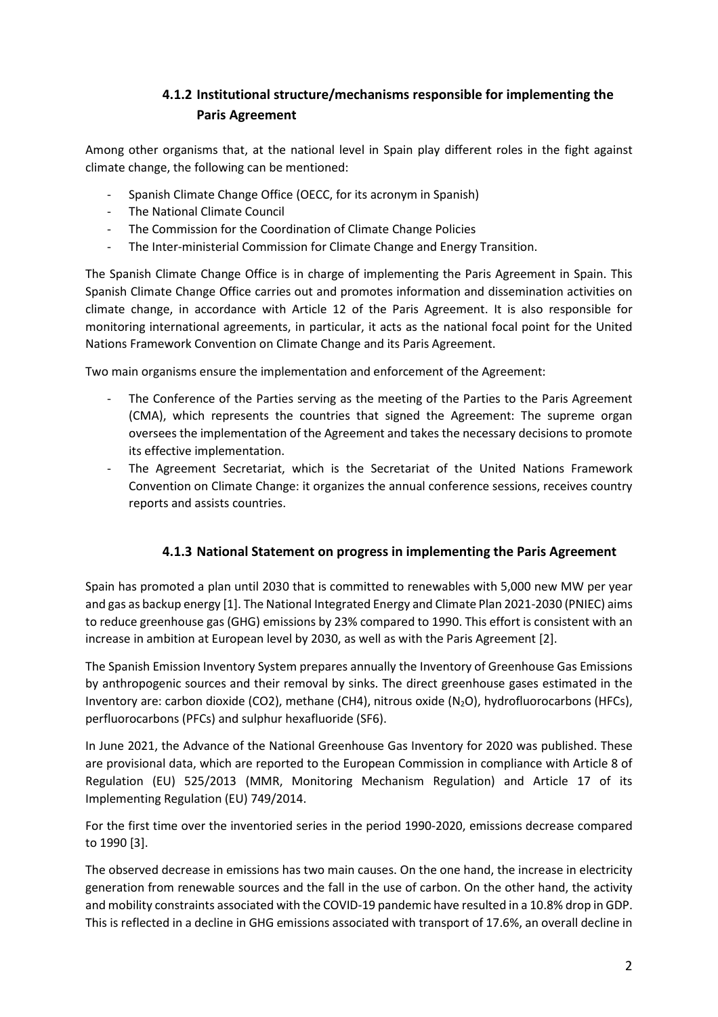# **4.1.2 Institutional structure/mechanisms responsible for implementing the Paris Agreement**

Among other organisms that, at the national level in Spain play different roles in the fight against climate change, the following can be mentioned:

- Spanish Climate Change Office (OECC, for its acronym in Spanish)
- The National Climate Council
- The Commission for the Coordination of Climate Change Policies
- The Inter-ministerial Commission for Climate Change and Energy Transition.

The Spanish Climate Change Office is in charge of implementing the Paris Agreement in Spain. This Spanish Climate Change Office carries out and promotes information and dissemination activities on climate change, in accordance with Article 12 of the Paris Agreement. It is also responsible for monitoring international agreements, in particular, it acts as the national focal point for the United Nations Framework Convention on Climate Change and its Paris Agreement.

Two main organisms ensure the implementation and enforcement of the Agreement:

- The Conference of the Parties serving as the meeting of the Parties to the Paris Agreement (CMA), which represents the countries that signed the Agreement: The supreme organ oversees the implementation of the Agreement and takes the necessary decisions to promote its effective implementation.
- The Agreement Secretariat, which is the Secretariat of the United Nations Framework Convention on Climate Change: it organizes the annual conference sessions, receives country reports and assists countries.

### **4.1.3 National Statement on progress in implementing the Paris Agreement**

Spain has promoted a plan until 2030 that is committed to renewables with 5,000 new MW per year and gas as backup energy [1]. The National Integrated Energy and Climate Plan 2021-2030 (PNIEC) aims to reduce greenhouse gas (GHG) emissions by 23% compared to 1990. This effort is consistent with an increase in ambition at European level by 2030, as well as with the Paris Agreement [2].

The Spanish Emission Inventory System prepares annually the Inventory of Greenhouse Gas Emissions by anthropogenic sources and their removal by sinks. The direct greenhouse gases estimated in the Inventory are: carbon dioxide (CO2), methane (CH4), nitrous oxide (N<sub>2</sub>O), hydrofluorocarbons (HFCs), perfluorocarbons (PFCs) and sulphur hexafluoride (SF6).

In June 2021, the Advance of the National Greenhouse Gas Inventory for 2020 was published. These are provisional data, which are reported to the European Commission in compliance with Article 8 of Regulation (EU) 525/2013 (MMR, Monitoring Mechanism Regulation) and Article 17 of its Implementing Regulation (EU) 749/2014.

For the first time over the inventoried series in the period 1990-2020, emissions decrease compared to 1990 [3].

The observed decrease in emissions has two main causes. On the one hand, the increase in electricity generation from renewable sources and the fall in the use of carbon. On the other hand, the activity and mobility constraints associated with the COVID-19 pandemic have resulted in a 10.8% drop in GDP. This is reflected in a decline in GHG emissions associated with transport of 17.6%, an overall decline in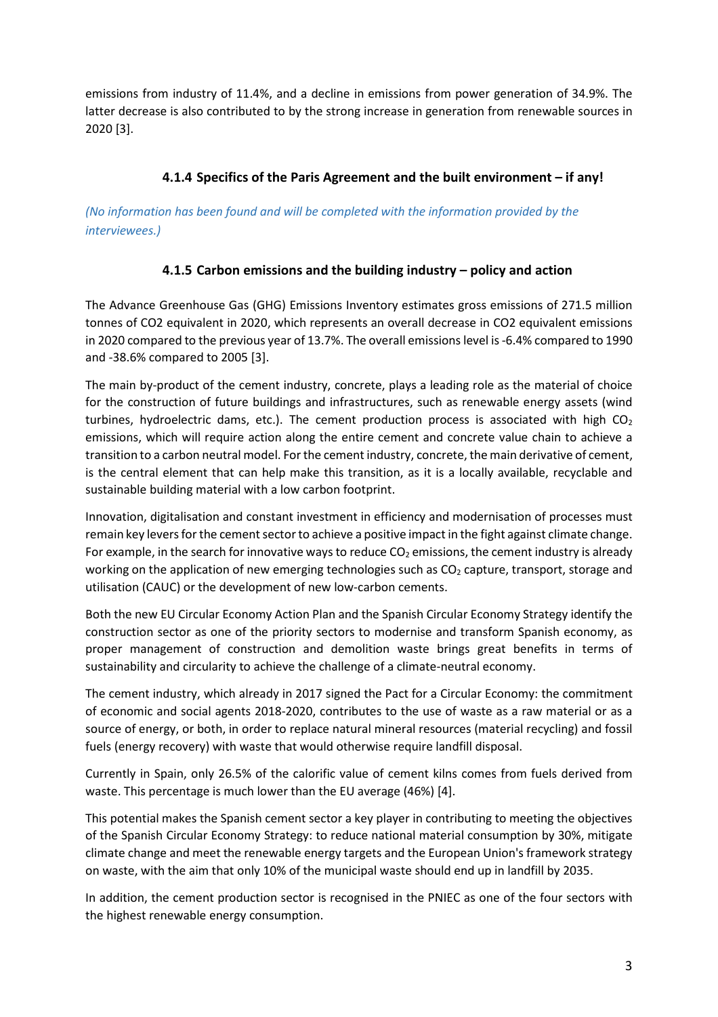emissions from industry of 11.4%, and a decline in emissions from power generation of 34.9%. The latter decrease is also contributed to by the strong increase in generation from renewable sources in 2020 [3].

## **4.1.4 Specifics of the Paris Agreement and the built environment – if any!**

*(No information has been found and will be completed with the information provided by the interviewees.)*

### **4.1.5 Carbon emissions and the building industry – policy and action**

The Advance Greenhouse Gas (GHG) Emissions Inventory estimates gross emissions of 271.5 million tonnes of CO2 equivalent in 2020, which represents an overall decrease in CO2 equivalent emissions in 2020 compared to the previous year of 13.7%. The overall emissions level is -6.4% compared to 1990 and -38.6% compared to 2005 [3].

The main by-product of the cement industry, concrete, plays a leading role as the material of choice for the construction of future buildings and infrastructures, such as renewable energy assets (wind turbines, hydroelectric dams, etc.). The cement production process is associated with high  $CO<sub>2</sub>$ emissions, which will require action along the entire cement and concrete value chain to achieve a transition to a carbon neutral model. For the cement industry, concrete, the main derivative of cement, is the central element that can help make this transition, as it is a locally available, recyclable and sustainable building material with a low carbon footprint.

Innovation, digitalisation and constant investment in efficiency and modernisation of processes must remain key levers for the cement sector to achieve a positive impact in the fight against climate change. For example, in the search for innovative ways to reduce  $CO<sub>2</sub>$  emissions, the cement industry is already working on the application of new emerging technologies such as  $CO<sub>2</sub>$  capture, transport, storage and utilisation (CAUC) or the development of new low-carbon cements.

Both the new EU Circular Economy Action Plan and the Spanish Circular Economy Strategy identify the construction sector as one of the priority sectors to modernise and transform Spanish economy, as proper management of construction and demolition waste brings great benefits in terms of sustainability and circularity to achieve the challenge of a climate-neutral economy.

The cement industry, which already in 2017 signed the Pact for a Circular Economy: the commitment of economic and social agents 2018-2020, contributes to the use of waste as a raw material or as a source of energy, or both, in order to replace natural mineral resources (material recycling) and fossil fuels (energy recovery) with waste that would otherwise require landfill disposal.

Currently in Spain, only 26.5% of the calorific value of cement kilns comes from fuels derived from waste. This percentage is much lower than the EU average (46%) [4].

This potential makes the Spanish cement sector a key player in contributing to meeting the objectives of the Spanish Circular Economy Strategy: to reduce national material consumption by 30%, mitigate climate change and meet the renewable energy targets and the European Union's framework strategy on waste, with the aim that only 10% of the municipal waste should end up in landfill by 2035.

In addition, the cement production sector is recognised in the PNIEC as one of the four sectors with the highest renewable energy consumption.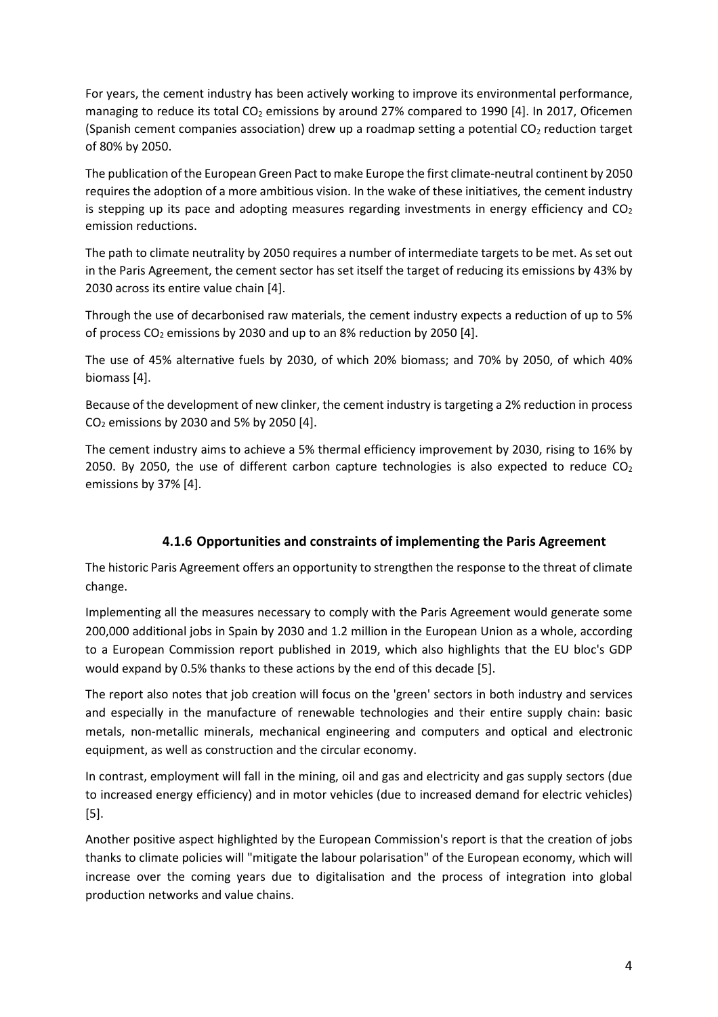For years, the cement industry has been actively working to improve its environmental performance, managing to reduce its total  $CO<sub>2</sub>$  emissions by around 27% compared to 1990 [4]. In 2017, Oficemen (Spanish cement companies association) drew up a roadmap setting a potential  $CO<sub>2</sub>$  reduction target of 80% by 2050.

The publication of the European Green Pact to make Europe the first climate-neutral continent by 2050 requires the adoption of a more ambitious vision. In the wake of these initiatives, the cement industry is stepping up its pace and adopting measures regarding investments in energy efficiency and  $CO<sub>2</sub>$ emission reductions.

The path to climate neutrality by 2050 requires a number of intermediate targets to be met. As set out in the Paris Agreement, the cement sector has set itself the target of reducing its emissions by 43% by 2030 across its entire value chain [4].

Through the use of decarbonised raw materials, the cement industry expects a reduction of up to 5% of process  $CO<sub>2</sub>$  emissions by 2030 and up to an 8% reduction by 2050 [4].

The use of 45% alternative fuels by 2030, of which 20% biomass; and 70% by 2050, of which 40% biomass [4].

Because of the development of new clinker, the cement industry is targeting a 2% reduction in process  $CO<sub>2</sub>$  emissions by 2030 and 5% by 2050 [4].

The cement industry aims to achieve a 5% thermal efficiency improvement by 2030, rising to 16% by 2050. By 2050, the use of different carbon capture technologies is also expected to reduce  $CO<sub>2</sub>$ emissions by 37% [4].

### **4.1.6 Opportunities and constraints of implementing the Paris Agreement**

The historic Paris Agreement offers an opportunity to strengthen the response to the threat of climate change.

Implementing all the measures necessary to comply with the Paris Agreement would generate some 200,000 additional jobs in Spain by 2030 and 1.2 million in the European Union as a whole, according to a European Commission report published in 2019, which also highlights that the EU bloc's GDP would expand by 0.5% thanks to these actions by the end of this decade [5].

The report also notes that job creation will focus on the 'green' sectors in both industry and services and especially in the manufacture of renewable technologies and their entire supply chain: basic metals, non-metallic minerals, mechanical engineering and computers and optical and electronic equipment, as well as construction and the circular economy.

In contrast, employment will fall in the mining, oil and gas and electricity and gas supply sectors (due to increased energy efficiency) and in motor vehicles (due to increased demand for electric vehicles) [5].

Another positive aspect highlighted by the European Commission's report is that the creation of jobs thanks to climate policies will "mitigate the labour polarisation" of the European economy, which will increase over the coming years due to digitalisation and the process of integration into global production networks and value chains.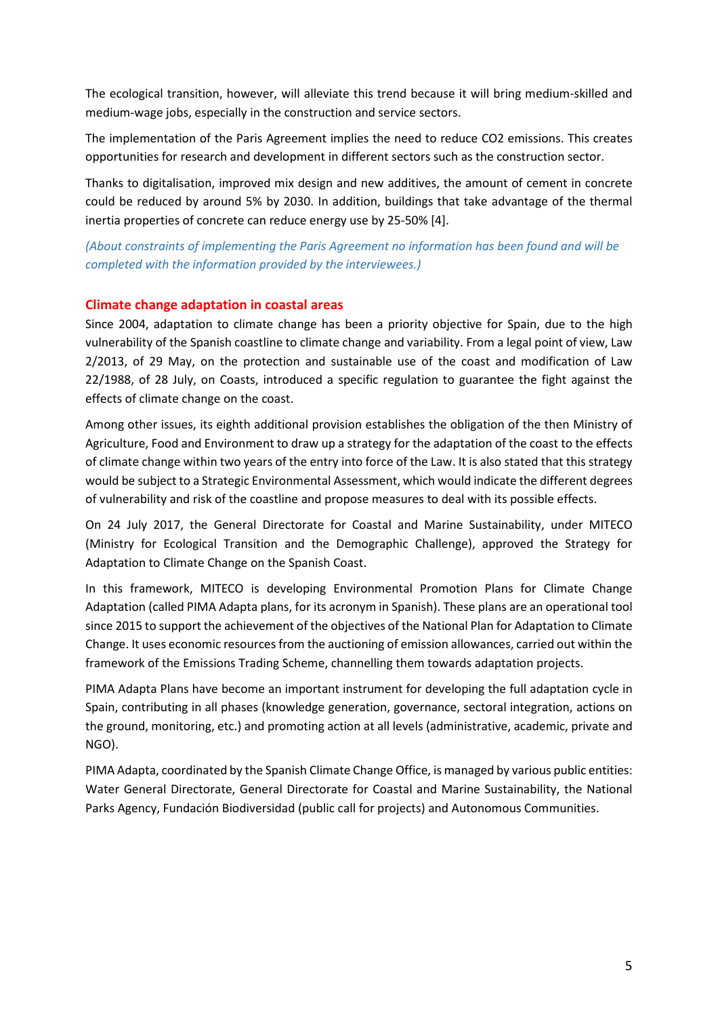The ecological transition, however, will alleviate this trend because it will bring medium-skilled and medium-wage jobs, especially in the construction and service sectors.

The implementation of the Paris Agreement implies the need to reduce CO2 emissions. This creates opportunities for research and development in different sectors such as the construction sector.

Thanks to digitalisation, improved mix design and new additives, the amount of cement in concrete could be reduced by around 5% by 2030. In addition, buildings that take advantage of the thermal inertia properties of concrete can reduce energy use by 25-50% [4].

*(About constraints of implementing the Paris Agreement no information has been found and will be completed with the information provided by the interviewees.)*

### **Climate change adaptation in coastal areas**

Since 2004, adaptation to climate change has been a priority objective for Spain, due to the high vulnerability of the Spanish coastline to climate change and variability. From a legal point of view, Law 2/2013, of 29 May, on the protection and sustainable use of the coast and modification of Law 22/1988, of 28 July, on Coasts, introduced a specific regulation to guarantee the fight against the effects of climate change on the coast.

Among other issues, its eighth additional provision establishes the obligation of the then Ministry of Agriculture, Food and Environment to draw up a strategy for the adaptation of the coast to the effects of climate change within two years of the entry into force of the Law. It is also stated that this strategy would be subject to a Strategic Environmental Assessment, which would indicate the different degrees of vulnerability and risk of the coastline and propose measures to deal with its possible effects.

On 24 July 2017, the General Directorate for Coastal and Marine Sustainability, under MITECO (Ministry for Ecological Transition and the Demographic Challenge), approved the Strategy for Adaptation to Climate Change on the Spanish Coast.

In this framework, MITECO is developing Environmental Promotion Plans for Climate Change Adaptation (called PIMA Adapta plans, for its acronym in Spanish). These plans are an operational tool since 2015 to support the achievement of the objectives of the National Plan for Adaptation to Climate Change. It uses economic resources from the auctioning of emission allowances, carried out within the framework of the Emissions Trading Scheme, channelling them towards adaptation projects.

PIMA Adapta Plans have become an important instrument for developing the full adaptation cycle in Spain, contributing in all phases (knowledge generation, governance, sectoral integration, actions on the ground, monitoring, etc.) and promoting action at all levels (administrative, academic, private and NGO).

PIMA Adapta, coordinated by the Spanish Climate Change Office, is managed by various public entities: Water General Directorate, General Directorate for Coastal and Marine Sustainability, the National Parks Agency, Fundación Biodiversidad (public call for projects) and Autonomous Communities.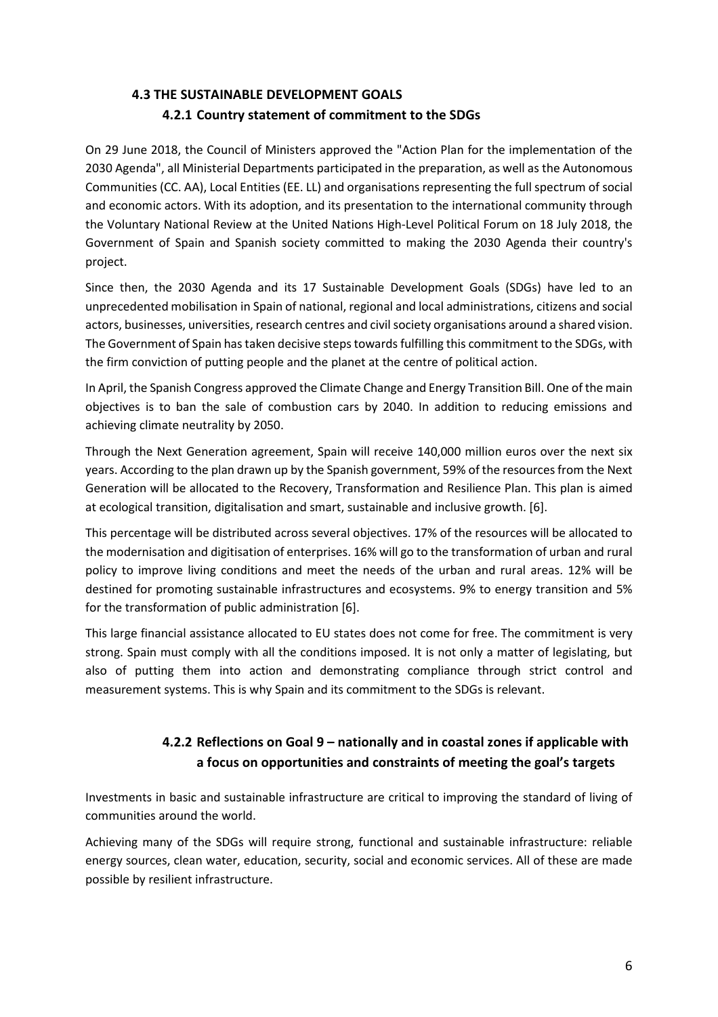# **4.3 THE SUSTAINABLE DEVELOPMENT GOALS 4.2.1 Country statement of commitment to the SDGs**

On 29 June 2018, the Council of Ministers approved the "Action Plan for the implementation of the 2030 Agenda", all Ministerial Departments participated in the preparation, as well as the Autonomous Communities (CC. AA), Local Entities (EE. LL) and organisations representing the full spectrum of social and economic actors. With its adoption, and its presentation to the international community through the Voluntary National Review at the United Nations High-Level Political Forum on 18 July 2018, the Government of Spain and Spanish society committed to making the 2030 Agenda their country's project.

Since then, the 2030 Agenda and its 17 Sustainable Development Goals (SDGs) have led to an unprecedented mobilisation in Spain of national, regional and local administrations, citizens and social actors, businesses, universities, research centres and civil society organisations around a shared vision. The Government of Spain has taken decisive steps towards fulfilling this commitment to the SDGs, with the firm conviction of putting people and the planet at the centre of political action.

In April, the Spanish Congress approved the Climate Change and Energy Transition Bill. One of the main objectives is to ban the sale of combustion cars by 2040. In addition to reducing emissions and achieving climate neutrality by 2050.

Through the Next Generation agreement, Spain will receive 140,000 million euros over the next six years. According to the plan drawn up by the Spanish government, 59% of the resources from the Next Generation will be allocated to the Recovery, Transformation and Resilience Plan. This plan is aimed at ecological transition, digitalisation and smart, sustainable and inclusive growth. [6].

This percentage will be distributed across several objectives. 17% of the resources will be allocated to the modernisation and digitisation of enterprises. 16% will go to the transformation of urban and rural policy to improve living conditions and meet the needs of the urban and rural areas. 12% will be destined for promoting sustainable infrastructures and ecosystems. 9% to energy transition and 5% for the transformation of public administration [6].

This large financial assistance allocated to EU states does not come for free. The commitment is very strong. Spain must comply with all the conditions imposed. It is not only a matter of legislating, but also of putting them into action and demonstrating compliance through strict control and measurement systems. This is why Spain and its commitment to the SDGs is relevant.

# **4.2.2 Reflections on Goal 9 – nationally and in coastal zones if applicable with a focus on opportunities and constraints of meeting the goal's targets**

Investments in basic and sustainable infrastructure are critical to improving the standard of living of communities around the world.

Achieving many of the SDGs will require strong, functional and sustainable infrastructure: reliable energy sources, clean water, education, security, social and economic services. All of these are made possible by resilient infrastructure.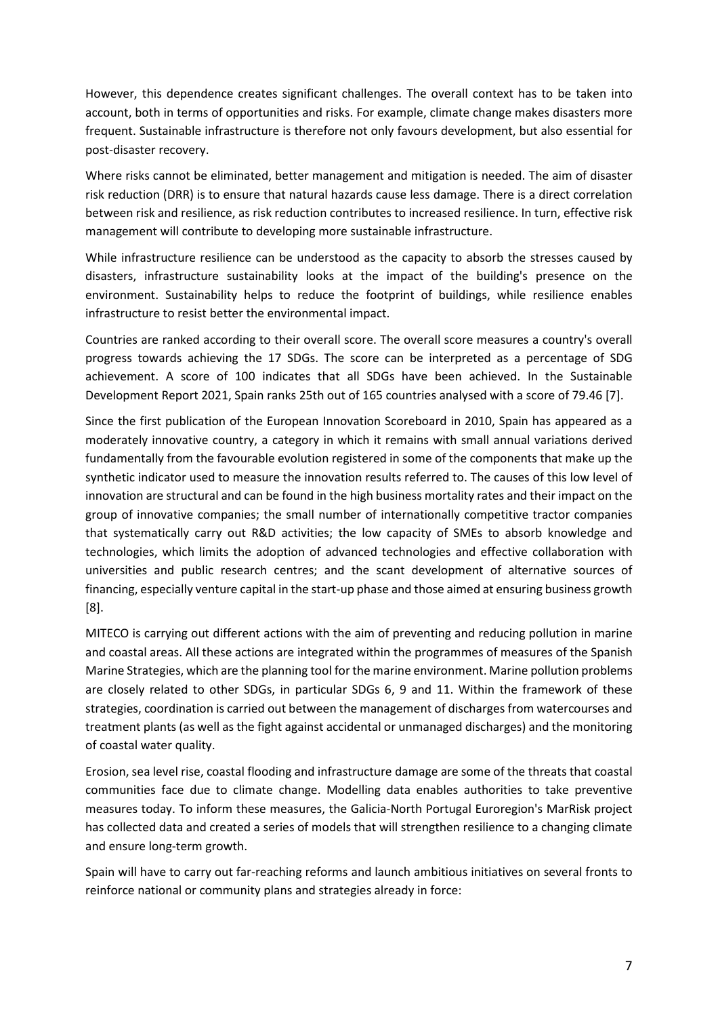However, this dependence creates significant challenges. The overall context has to be taken into account, both in terms of opportunities and risks. For example, climate change makes disasters more frequent. Sustainable infrastructure is therefore not only favours development, but also essential for post-disaster recovery.

Where risks cannot be eliminated, better management and mitigation is needed. The aim of disaster risk reduction (DRR) is to ensure that natural hazards cause less damage. There is a direct correlation between risk and resilience, as risk reduction contributes to increased resilience. In turn, effective risk management will contribute to developing more sustainable infrastructure.

While infrastructure resilience can be understood as the capacity to absorb the stresses caused by disasters, infrastructure sustainability looks at the impact of the building's presence on the environment. Sustainability helps to reduce the footprint of buildings, while resilience enables infrastructure to resist better the environmental impact.

Countries are ranked according to their overall score. The overall score measures a country's overall progress towards achieving the 17 SDGs. The score can be interpreted as a percentage of SDG achievement. A score of 100 indicates that all SDGs have been achieved. In the Sustainable Development Report 2021, Spain ranks 25th out of 165 countries analysed with a score of 79.46 [7].

Since the first publication of the European Innovation Scoreboard in 2010, Spain has appeared as a moderately innovative country, a category in which it remains with small annual variations derived fundamentally from the favourable evolution registered in some of the components that make up the synthetic indicator used to measure the innovation results referred to. The causes of this low level of innovation are structural and can be found in the high business mortality rates and their impact on the group of innovative companies; the small number of internationally competitive tractor companies that systematically carry out R&D activities; the low capacity of SMEs to absorb knowledge and technologies, which limits the adoption of advanced technologies and effective collaboration with universities and public research centres; and the scant development of alternative sources of financing, especially venture capital in the start-up phase and those aimed at ensuring business growth [8].

MITECO is carrying out different actions with the aim of preventing and reducing pollution in marine and coastal areas. All these actions are integrated within the programmes of measures of the Spanish Marine Strategies, which are the planning tool for the marine environment. Marine pollution problems are closely related to other SDGs, in particular SDGs 6, 9 and 11. Within the framework of these strategies, coordination is carried out between the management of discharges from watercourses and treatment plants (as well as the fight against accidental or unmanaged discharges) and the monitoring of coastal water quality.

Erosion, sea level rise, coastal flooding and infrastructure damage are some of the threats that coastal communities face due to climate change. Modelling data enables authorities to take preventive measures today. To inform these measures, the Galicia-North Portugal Euroregion's MarRisk project has collected data and created a series of models that will strengthen resilience to a changing climate and ensure long-term growth.

Spain will have to carry out far-reaching reforms and launch ambitious initiatives on several fronts to reinforce national or community plans and strategies already in force: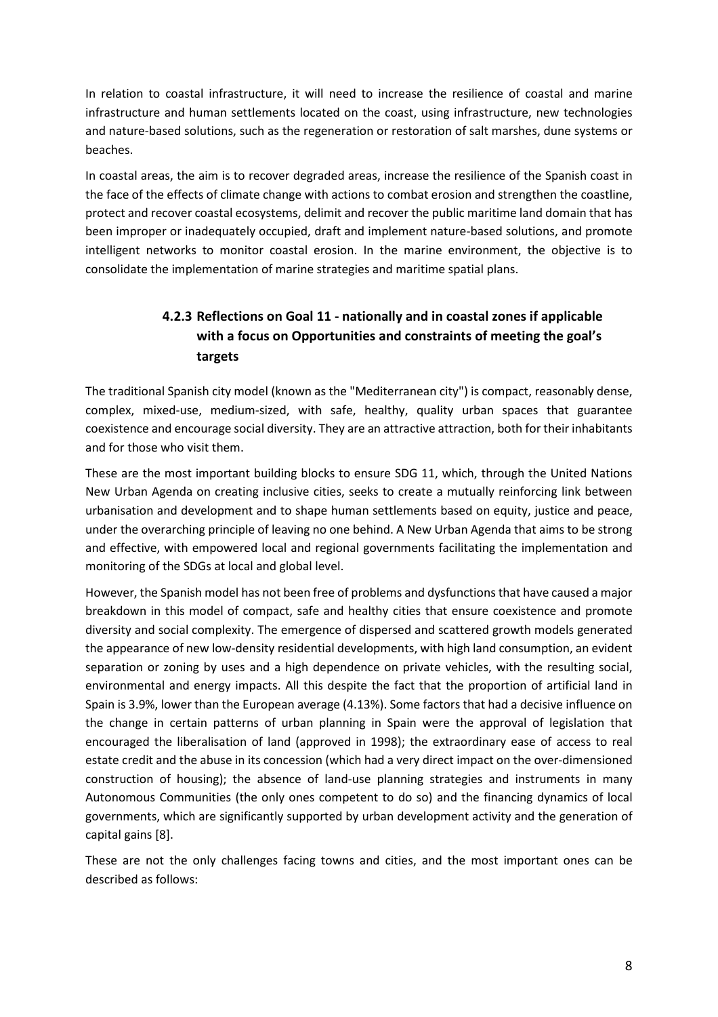In relation to coastal infrastructure, it will need to increase the resilience of coastal and marine infrastructure and human settlements located on the coast, using infrastructure, new technologies and nature-based solutions, such as the regeneration or restoration of salt marshes, dune systems or beaches.

In coastal areas, the aim is to recover degraded areas, increase the resilience of the Spanish coast in the face of the effects of climate change with actions to combat erosion and strengthen the coastline, protect and recover coastal ecosystems, delimit and recover the public maritime land domain that has been improper or inadequately occupied, draft and implement nature-based solutions, and promote intelligent networks to monitor coastal erosion. In the marine environment, the objective is to consolidate the implementation of marine strategies and maritime spatial plans.

# **4.2.3 Reflections on Goal 11 - nationally and in coastal zones if applicable with a focus on Opportunities and constraints of meeting the goal's targets**

The traditional Spanish city model (known as the "Mediterranean city") is compact, reasonably dense, complex, mixed-use, medium-sized, with safe, healthy, quality urban spaces that guarantee coexistence and encourage social diversity. They are an attractive attraction, both for their inhabitants and for those who visit them.

These are the most important building blocks to ensure SDG 11, which, through the United Nations New Urban Agenda on creating inclusive cities, seeks to create a mutually reinforcing link between urbanisation and development and to shape human settlements based on equity, justice and peace, under the overarching principle of leaving no one behind. A New Urban Agenda that aims to be strong and effective, with empowered local and regional governments facilitating the implementation and monitoring of the SDGs at local and global level.

However, the Spanish model has not been free of problems and dysfunctions that have caused a major breakdown in this model of compact, safe and healthy cities that ensure coexistence and promote diversity and social complexity. The emergence of dispersed and scattered growth models generated the appearance of new low-density residential developments, with high land consumption, an evident separation or zoning by uses and a high dependence on private vehicles, with the resulting social, environmental and energy impacts. All this despite the fact that the proportion of artificial land in Spain is 3.9%, lower than the European average (4.13%). Some factors that had a decisive influence on the change in certain patterns of urban planning in Spain were the approval of legislation that encouraged the liberalisation of land (approved in 1998); the extraordinary ease of access to real estate credit and the abuse in its concession (which had a very direct impact on the over-dimensioned construction of housing); the absence of land-use planning strategies and instruments in many Autonomous Communities (the only ones competent to do so) and the financing dynamics of local governments, which are significantly supported by urban development activity and the generation of capital gains [8].

These are not the only challenges facing towns and cities, and the most important ones can be described as follows: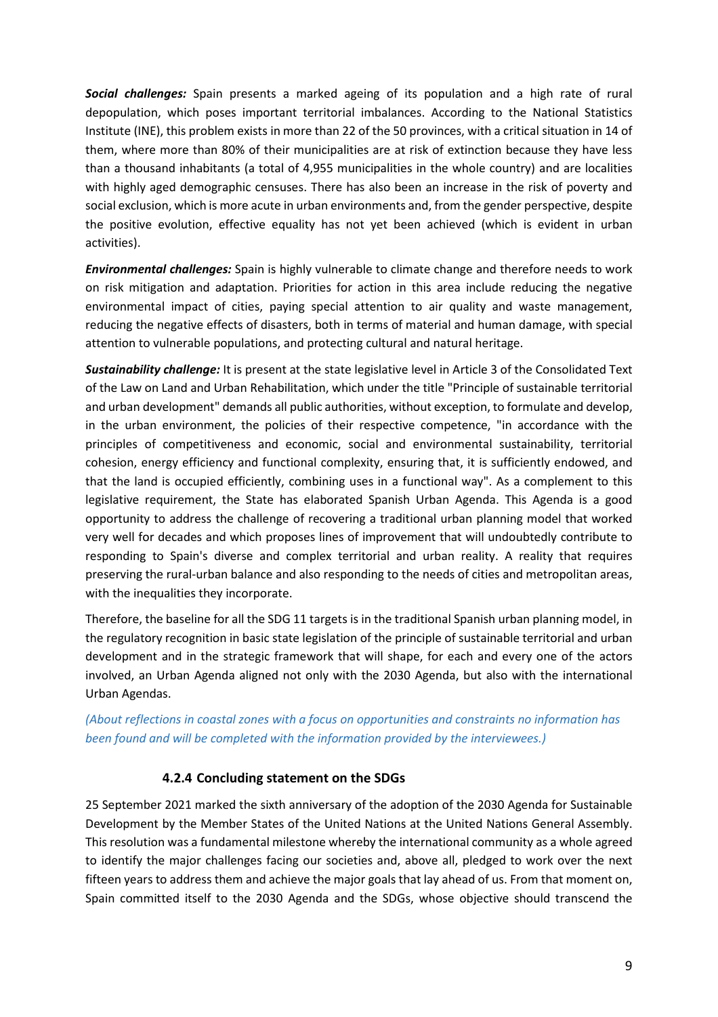*Social challenges:* Spain presents a marked ageing of its population and a high rate of rural depopulation, which poses important territorial imbalances. According to the National Statistics Institute (INE), this problem exists in more than 22 of the 50 provinces, with a critical situation in 14 of them, where more than 80% of their municipalities are at risk of extinction because they have less than a thousand inhabitants (a total of 4,955 municipalities in the whole country) and are localities with highly aged demographic censuses. There has also been an increase in the risk of poverty and social exclusion, which is more acute in urban environments and, from the gender perspective, despite the positive evolution, effective equality has not yet been achieved (which is evident in urban activities).

*Environmental challenges:* Spain is highly vulnerable to climate change and therefore needs to work on risk mitigation and adaptation. Priorities for action in this area include reducing the negative environmental impact of cities, paying special attention to air quality and waste management, reducing the negative effects of disasters, both in terms of material and human damage, with special attention to vulnerable populations, and protecting cultural and natural heritage.

*Sustainability challenge:* It is present at the state legislative level in Article 3 of the Consolidated Text of the Law on Land and Urban Rehabilitation, which under the title "Principle of sustainable territorial and urban development" demands all public authorities, without exception, to formulate and develop, in the urban environment, the policies of their respective competence, "in accordance with the principles of competitiveness and economic, social and environmental sustainability, territorial cohesion, energy efficiency and functional complexity, ensuring that, it is sufficiently endowed, and that the land is occupied efficiently, combining uses in a functional way". As a complement to this legislative requirement, the State has elaborated Spanish Urban Agenda. This Agenda is a good opportunity to address the challenge of recovering a traditional urban planning model that worked very well for decades and which proposes lines of improvement that will undoubtedly contribute to responding to Spain's diverse and complex territorial and urban reality. A reality that requires preserving the rural-urban balance and also responding to the needs of cities and metropolitan areas, with the inequalities they incorporate.

Therefore, the baseline for all the SDG 11 targets is in the traditional Spanish urban planning model, in the regulatory recognition in basic state legislation of the principle of sustainable territorial and urban development and in the strategic framework that will shape, for each and every one of the actors involved, an Urban Agenda aligned not only with the 2030 Agenda, but also with the international Urban Agendas.

*(About reflections in coastal zones with a focus on opportunities and constraints no information has been found and will be completed with the information provided by the interviewees.)*

### **4.2.4 Concluding statement on the SDGs**

25 September 2021 marked the sixth anniversary of the adoption of the 2030 Agenda for Sustainable Development by the Member States of the United Nations at the United Nations General Assembly. This resolution was a fundamental milestone whereby the international community as a whole agreed to identify the major challenges facing our societies and, above all, pledged to work over the next fifteen years to address them and achieve the major goals that lay ahead of us. From that moment on, Spain committed itself to the 2030 Agenda and the SDGs, whose objective should transcend the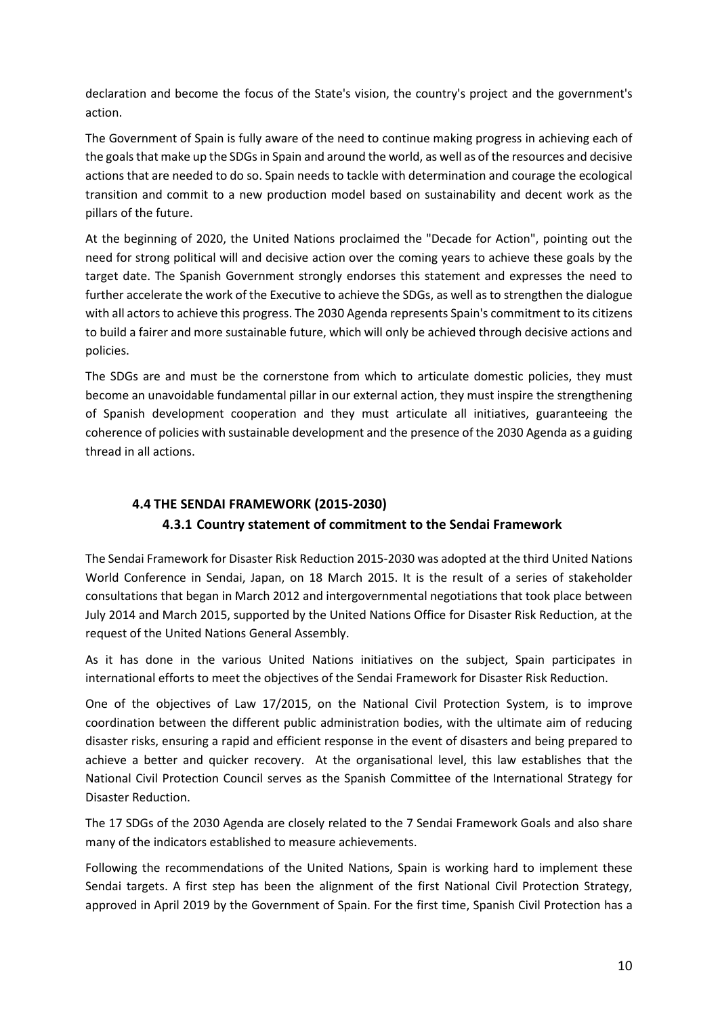declaration and become the focus of the State's vision, the country's project and the government's action.

The Government of Spain is fully aware of the need to continue making progress in achieving each of the goals that make up the SDGs in Spain and around the world, as well as of the resources and decisive actions that are needed to do so. Spain needs to tackle with determination and courage the ecological transition and commit to a new production model based on sustainability and decent work as the pillars of the future.

At the beginning of 2020, the United Nations proclaimed the "Decade for Action", pointing out the need for strong political will and decisive action over the coming years to achieve these goals by the target date. The Spanish Government strongly endorses this statement and expresses the need to further accelerate the work of the Executive to achieve the SDGs, as well as to strengthen the dialogue with all actors to achieve this progress. The 2030 Agenda represents Spain's commitment to its citizens to build a fairer and more sustainable future, which will only be achieved through decisive actions and policies.

The SDGs are and must be the cornerstone from which to articulate domestic policies, they must become an unavoidable fundamental pillar in our external action, they must inspire the strengthening of Spanish development cooperation and they must articulate all initiatives, guaranteeing the coherence of policies with sustainable development and the presence of the 2030 Agenda as a guiding thread in all actions.

## **4.4 THE SENDAI FRAMEWORK (2015-2030)**

### **4.3.1 Country statement of commitment to the Sendai Framework**

The Sendai Framework for Disaster Risk Reduction 2015-2030 was adopted at the third United Nations World Conference in Sendai, Japan, on 18 March 2015. It is the result of a series of stakeholder consultations that began in March 2012 and intergovernmental negotiations that took place between July 2014 and March 2015, supported by the United Nations Office for Disaster Risk Reduction, at the request of the United Nations General Assembly.

As it has done in the various United Nations initiatives on the subject, Spain participates in international efforts to meet the objectives of the Sendai Framework for Disaster Risk Reduction.

One of the objectives of Law 17/2015, on the National Civil Protection System, is to improve coordination between the different public administration bodies, with the ultimate aim of reducing disaster risks, ensuring a rapid and efficient response in the event of disasters and being prepared to achieve a better and quicker recovery. At the organisational level, this law establishes that the National Civil Protection Council serves as the Spanish Committee of the International Strategy for Disaster Reduction.

The 17 SDGs of the 2030 Agenda are closely related to the 7 Sendai Framework Goals and also share many of the indicators established to measure achievements.

Following the recommendations of the United Nations, Spain is working hard to implement these Sendai targets. A first step has been the alignment of the first National Civil Protection Strategy, approved in April 2019 by the Government of Spain. For the first time, Spanish Civil Protection has a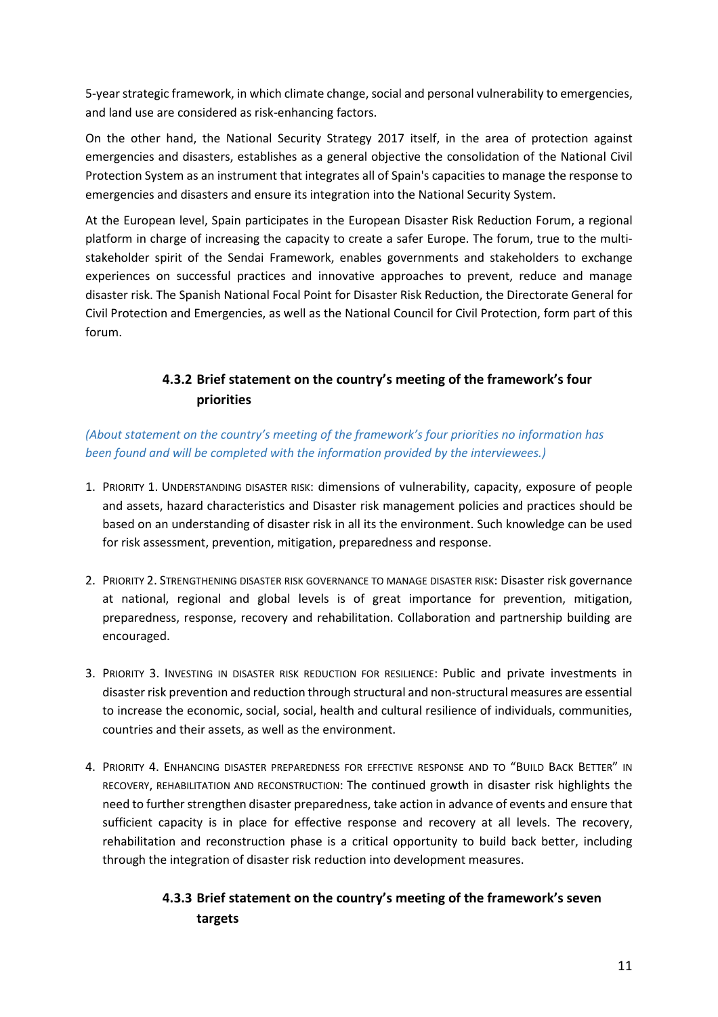5-year strategic framework, in which climate change, social and personal vulnerability to emergencies, and land use are considered as risk-enhancing factors.

On the other hand, the National Security Strategy 2017 itself, in the area of protection against emergencies and disasters, establishes as a general objective the consolidation of the National Civil Protection System as an instrument that integrates all of Spain's capacities to manage the response to emergencies and disasters and ensure its integration into the National Security System.

At the European level, Spain participates in the European Disaster Risk Reduction Forum, a regional platform in charge of increasing the capacity to create a safer Europe. The forum, true to the multistakeholder spirit of the Sendai Framework, enables governments and stakeholders to exchange experiences on successful practices and innovative approaches to prevent, reduce and manage disaster risk. The Spanish National Focal Point for Disaster Risk Reduction, the Directorate General for Civil Protection and Emergencies, as well as the National Council for Civil Protection, form part of this forum.

# **4.3.2 Brief statement on the country's meeting of the framework's four priorities**

*(About statement on the country's meeting of the framework's four priorities no information has been found and will be completed with the information provided by the interviewees.)*

- 1. PRIORITY 1. UNDERSTANDING DISASTER RISK: dimensions of vulnerability, capacity, exposure of people and assets, hazard characteristics and Disaster risk management policies and practices should be based on an understanding of disaster risk in all its the environment. Such knowledge can be used for risk assessment, prevention, mitigation, preparedness and response.
- 2. PRIORITY 2. STRENGTHENING DISASTER RISK GOVERNANCE TO MANAGE DISASTER RISK: Disaster risk governance at national, regional and global levels is of great importance for prevention, mitigation, preparedness, response, recovery and rehabilitation. Collaboration and partnership building are encouraged.
- 3. PRIORITY 3. INVESTING IN DISASTER RISK REDUCTION FOR RESILIENCE: Public and private investments in disaster risk prevention and reduction through structural and non-structural measures are essential to increase the economic, social, social, health and cultural resilience of individuals, communities, countries and their assets, as well as the environment.
- 4. PRIORITY 4. ENHANCING DISASTER PREPAREDNESS FOR EFFECTIVE RESPONSE AND TO "BUILD BACK BETTER" IN RECOVERY, REHABILITATION AND RECONSTRUCTION: The continued growth in disaster risk highlights the need to further strengthen disaster preparedness, take action in advance of events and ensure that sufficient capacity is in place for effective response and recovery at all levels. The recovery, rehabilitation and reconstruction phase is a critical opportunity to build back better, including through the integration of disaster risk reduction into development measures.

# **4.3.3 Brief statement on the country's meeting of the framework's seven targets**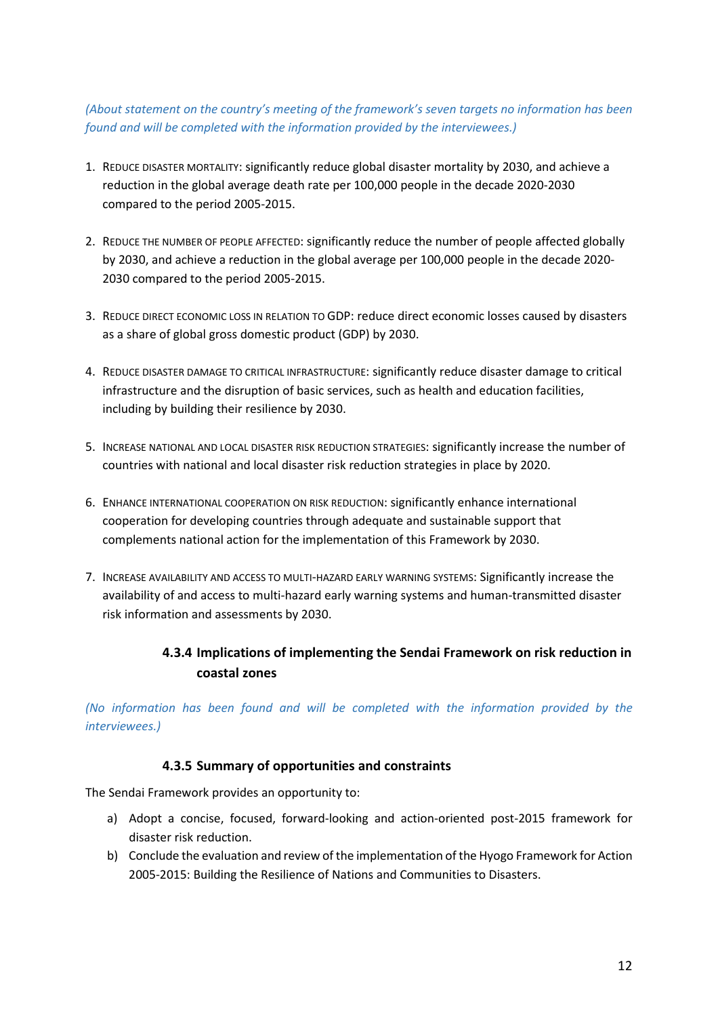## *(About statement on the country's meeting of the framework's seven targets no information has been found and will be completed with the information provided by the interviewees.)*

- 1. REDUCE DISASTER MORTALITY: significantly reduce global disaster mortality by 2030, and achieve a reduction in the global average death rate per 100,000 people in the decade 2020-2030 compared to the period 2005-2015.
- 2. REDUCE THE NUMBER OF PEOPLE AFFECTED: significantly reduce the number of people affected globally by 2030, and achieve a reduction in the global average per 100,000 people in the decade 2020- 2030 compared to the period 2005-2015.
- 3. REDUCE DIRECT ECONOMIC LOSS IN RELATION TO GDP: reduce direct economic losses caused by disasters as a share of global gross domestic product (GDP) by 2030.
- 4. REDUCE DISASTER DAMAGE TO CRITICAL INFRASTRUCTURE: significantly reduce disaster damage to critical infrastructure and the disruption of basic services, such as health and education facilities, including by building their resilience by 2030.
- 5. INCREASE NATIONAL AND LOCAL DISASTER RISK REDUCTION STRATEGIES: significantly increase the number of countries with national and local disaster risk reduction strategies in place by 2020.
- 6. ENHANCE INTERNATIONAL COOPERATION ON RISK REDUCTION: significantly enhance international cooperation for developing countries through adequate and sustainable support that complements national action for the implementation of this Framework by 2030.
- 7. INCREASE AVAILABILITY AND ACCESS TO MULTI-HAZARD EARLY WARNING SYSTEMS: Significantly increase the availability of and access to multi-hazard early warning systems and human-transmitted disaster risk information and assessments by 2030.

# **4.3.4 Implications of implementing the Sendai Framework on risk reduction in coastal zones**

*(No information has been found and will be completed with the information provided by the interviewees.)*

### **4.3.5 Summary of opportunities and constraints**

The Sendai Framework provides an opportunity to:

- a) Adopt a concise, focused, forward-looking and action-oriented post-2015 framework for disaster risk reduction.
- b) Conclude the evaluation and review of the implementation of the Hyogo Framework for Action 2005-2015: Building the Resilience of Nations and Communities to Disasters.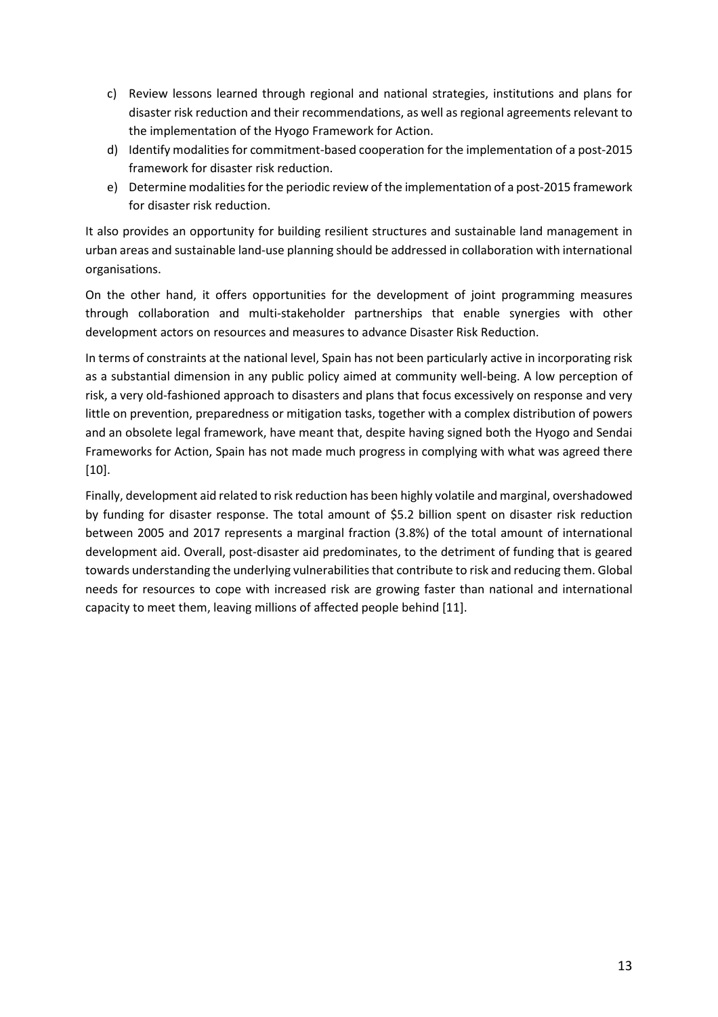- c) Review lessons learned through regional and national strategies, institutions and plans for disaster risk reduction and their recommendations, as well as regional agreements relevant to the implementation of the Hyogo Framework for Action.
- d) Identify modalities for commitment-based cooperation for the implementation of a post-2015 framework for disaster risk reduction.
- e) Determine modalities for the periodic review of the implementation of a post-2015 framework for disaster risk reduction.

It also provides an opportunity for building resilient structures and sustainable land management in urban areas and sustainable land-use planning should be addressed in collaboration with international organisations.

On the other hand, it offers opportunities for the development of joint programming measures through collaboration and multi-stakeholder partnerships that enable synergies with other development actors on resources and measures to advance Disaster Risk Reduction.

In terms of constraints at the national level, Spain has not been particularly active in incorporating risk as a substantial dimension in any public policy aimed at community well-being. A low perception of risk, a very old-fashioned approach to disasters and plans that focus excessively on response and very little on prevention, preparedness or mitigation tasks, together with a complex distribution of powers and an obsolete legal framework, have meant that, despite having signed both the Hyogo and Sendai Frameworks for Action, Spain has not made much progress in complying with what was agreed there [10].

Finally, development aid related to risk reduction has been highly volatile and marginal, overshadowed by funding for disaster response. The total amount of \$5.2 billion spent on disaster risk reduction between 2005 and 2017 represents a marginal fraction (3.8%) of the total amount of international development aid. Overall, post-disaster aid predominates, to the detriment of funding that is geared towards understanding the underlying vulnerabilities that contribute to risk and reducing them. Global needs for resources to cope with increased risk are growing faster than national and international capacity to meet them, leaving millions of affected people behind [11].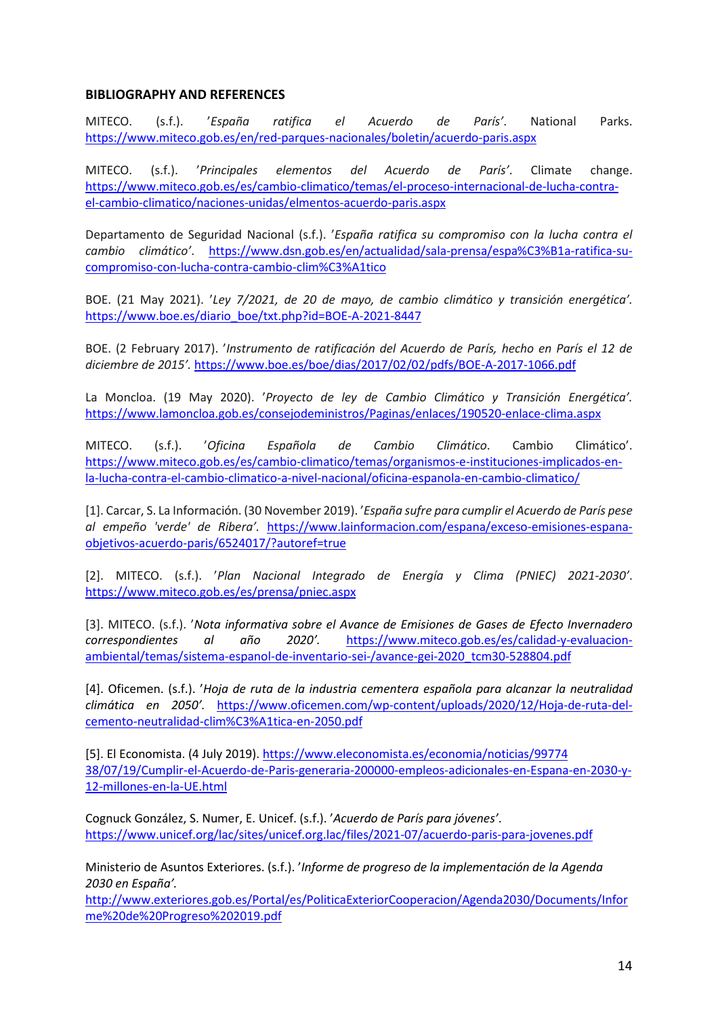#### **BIBLIOGRAPHY AND REFERENCES**

MITECO. (s.f.). '*España ratifica el Acuerdo de París'*. National Parks. <https://www.miteco.gob.es/en/red-parques-nacionales/boletin/acuerdo-paris.aspx>

MITECO. (s.f.). '*Principales elementos del Acuerdo de París'*. Climate change. [https://www.miteco.gob.es/es/cambio-climatico/temas/el-proceso-internacional-de-lucha-contra](https://www.miteco.gob.es/es/cambio-climatico/temas/el-proceso-internacional-de-lucha-contra-el-cambio-climatico/naciones-unidas/elmentos-acuerdo-paris.aspx)[el-cambio-climatico/naciones-unidas/elmentos-acuerdo-paris.aspx](https://www.miteco.gob.es/es/cambio-climatico/temas/el-proceso-internacional-de-lucha-contra-el-cambio-climatico/naciones-unidas/elmentos-acuerdo-paris.aspx)

Departamento de Seguridad Nacional (s.f.). '*España ratifica su compromiso con la lucha contra el cambio climático'*. [https://www.dsn.gob.es/en/actualidad/sala-prensa/espa%C3%B1a-ratifica-su](https://www.dsn.gob.es/en/actualidad/sala-prensa/espa%C3%B1a-ratifica-su-compromiso-con-lucha-contra-cambio-clim%C3%A1tico)[compromiso-con-lucha-contra-cambio-clim%C3%A1tico](https://www.dsn.gob.es/en/actualidad/sala-prensa/espa%C3%B1a-ratifica-su-compromiso-con-lucha-contra-cambio-clim%C3%A1tico)

BOE. (21 May 2021). '*Ley 7/2021, de 20 de mayo, de cambio climático y transición energética'.*  [https://www.boe.es/diario\\_boe/txt.php?id=BOE-A-2021-8447](https://www.boe.es/diario_boe/txt.php?id=BOE-A-2021-8447)

BOE. (2 February 2017). '*Instrumento de ratificación del Acuerdo de París, hecho en París el 12 de diciembre de 2015'.* <https://www.boe.es/boe/dias/2017/02/02/pdfs/BOE-A-2017-1066.pdf>

La Moncloa. (19 May 2020). '*Proyecto de ley de Cambio Climático y Transición Energética'.*  <https://www.lamoncloa.gob.es/consejodeministros/Paginas/enlaces/190520-enlace-clima.aspx>

MITECO. (s.f.). '*Oficina Española de Cambio Climático*. Cambio Climático'. [https://www.miteco.gob.es/es/cambio-climatico/temas/organismos-e-instituciones-implicados-en](https://www.miteco.gob.es/es/cambio-climatico/temas/organismos-e-instituciones-implicados-en-la-lucha-contra-el-cambio-climatico-a-nivel-nacional/oficina-espanola-en-cambio-climatico/)[la-lucha-contra-el-cambio-climatico-a-nivel-nacional/oficina-espanola-en-cambio-climatico/](https://www.miteco.gob.es/es/cambio-climatico/temas/organismos-e-instituciones-implicados-en-la-lucha-contra-el-cambio-climatico-a-nivel-nacional/oficina-espanola-en-cambio-climatico/)

[1]. Carcar, S. La Información. (30 November 2019). '*España sufre para cumplir el Acuerdo de París pese al empeño 'verde' de Ribera'.* [https://www.lainformacion.com/espana/exceso-emisiones-espana](https://www.lainformacion.com/espana/exceso-emisiones-espana-objetivos-acuerdo-paris/6524017/?autoref=true)[objetivos-acuerdo-paris/6524017/?autoref=true](https://www.lainformacion.com/espana/exceso-emisiones-espana-objetivos-acuerdo-paris/6524017/?autoref=true)

[2]. MITECO. (s.f.). '*Plan Nacional Integrado de Energía y Clima (PNIEC) 2021-2030'*. <https://www.miteco.gob.es/es/prensa/pniec.aspx>

[3]. MITECO. (s.f.). '*Nota informativa sobre el Avance de Emisiones de Gases de Efecto Invernadero correspondientes al año 2020'.* [https://www.miteco.gob.es/es/calidad-y-evaluacion](https://www.miteco.gob.es/es/calidad-y-evaluacion-ambiental/temas/sistema-espanol-de-inventario-sei-/avance-gei-2020_tcm30-528804.pdf)[ambiental/temas/sistema-espanol-de-inventario-sei-/avance-gei-2020\\_tcm30-528804.pdf](https://www.miteco.gob.es/es/calidad-y-evaluacion-ambiental/temas/sistema-espanol-de-inventario-sei-/avance-gei-2020_tcm30-528804.pdf)

[4]. Oficemen. (s.f.). '*Hoja de ruta de la industria cementera española para alcanzar la neutralidad climática en 2050'.* [https://www.oficemen.com/wp-content/uploads/2020/12/Hoja-de-ruta-del](https://www.oficemen.com/wp-content/uploads/2020/12/Hoja-de-ruta-del-cemento-neutralidad-clim%C3%A1tica-en-2050.pdf)[cemento-neutralidad-clim%C3%A1tica-en-2050.pdf](https://www.oficemen.com/wp-content/uploads/2020/12/Hoja-de-ruta-del-cemento-neutralidad-clim%C3%A1tica-en-2050.pdf)

[5]. El Economista. (4 July 2019)[. https://www.eleconomista.es/economia/noticias/99774](https://www.eleconomista.es/economia/noticias/99774%2038/07/19/Cumplir-el-Acuerdo-de-Paris-generaria-200000-empleos-adicionales-en-Espana-en-2030-y-12-millones-en-la-UE.html)  [38/07/19/Cumplir-el-Acuerdo-de-Paris-generaria-200000-empleos-adicionales-en-Espana-en-2030-y-](https://www.eleconomista.es/economia/noticias/99774%2038/07/19/Cumplir-el-Acuerdo-de-Paris-generaria-200000-empleos-adicionales-en-Espana-en-2030-y-12-millones-en-la-UE.html)[12-millones-en-la-UE.html](https://www.eleconomista.es/economia/noticias/99774%2038/07/19/Cumplir-el-Acuerdo-de-Paris-generaria-200000-empleos-adicionales-en-Espana-en-2030-y-12-millones-en-la-UE.html)

Cognuck González, S. Numer, E. Unicef. (s.f.). '*Acuerdo de París para jóvenes'*. <https://www.unicef.org/lac/sites/unicef.org.lac/files/2021-07/acuerdo-paris-para-jovenes.pdf>

Ministerio de Asuntos Exteriores. (s.f.). '*Informe de progreso de la implementación de la Agenda 2030 en España'.*

[http://www.exteriores.gob.es/Portal/es/PoliticaExteriorCooperacion/Agenda2030/Documents/Infor](http://www.exteriores.gob.es/Portal/es/PoliticaExteriorCooperacion/Agenda2030/Documents/Informe%20de%20Progreso%202019.pdf) [me%20de%20Progreso%202019.pdf](http://www.exteriores.gob.es/Portal/es/PoliticaExteriorCooperacion/Agenda2030/Documents/Informe%20de%20Progreso%202019.pdf)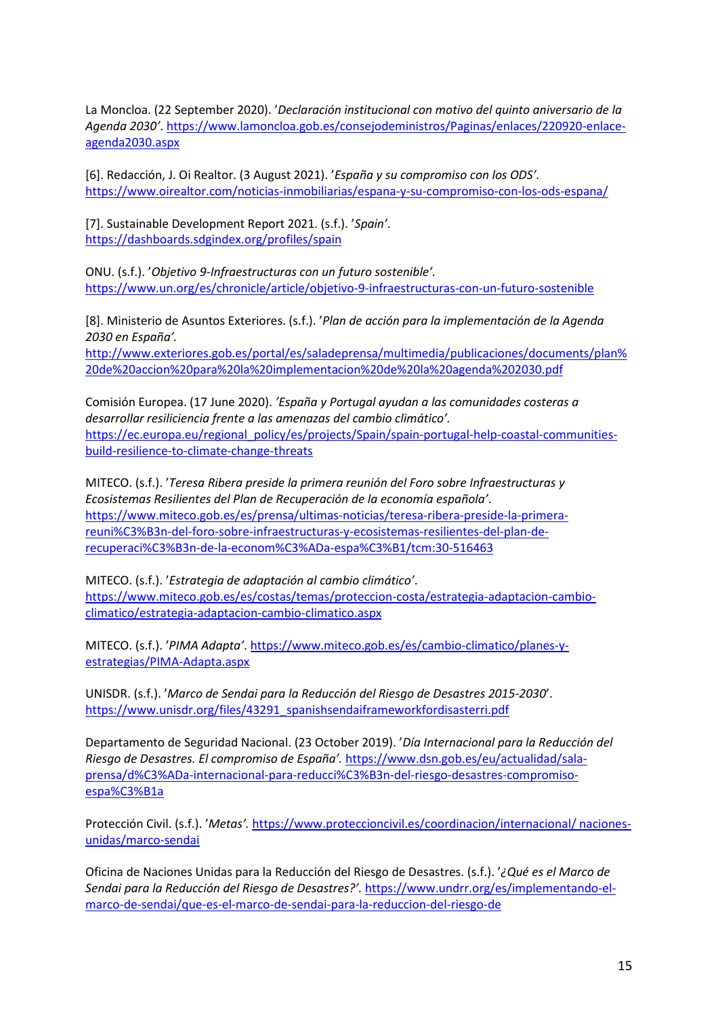La Moncloa. (22 September 2020). '*Declaración institucional con motivo del quinto aniversario de la Agenda 2030'*. [https://www.lamoncloa.gob.es/consejodeministros/Paginas/enlaces/220920-enlace](https://www.lamoncloa.gob.es/consejodeministros/Paginas/enlaces/220920-enlace-agenda2030.aspx)[agenda2030.aspx](https://www.lamoncloa.gob.es/consejodeministros/Paginas/enlaces/220920-enlace-agenda2030.aspx)

[6]. Redacción, J. Oi Realtor. (3 August 2021). '*España y su compromiso con los ODS'.* <https://www.oirealtor.com/noticias-inmobiliarias/espana-y-su-compromiso-con-los-ods-espana/>

[7]. Sustainable Development Report 2021. (s.f.). '*Spain'*. <https://dashboards.sdgindex.org/profiles/spain>

ONU. (s.f.). '*Objetivo 9-Infraestructuras con un futuro sostenible'.*  <https://www.un.org/es/chronicle/article/objetivo-9-infraestructuras-con-un-futuro-sostenible>

[8]. Ministerio de Asuntos Exteriores. (s.f.). '*Plan de acción para la implementación de la Agenda 2030 en España'.*

[http://www.exteriores.gob.es/portal/es/saladeprensa/multimedia/publicaciones/documents/plan%](http://www.exteriores.gob.es/portal/es/saladeprensa/multimedia/publicaciones/documents/plan%20de%20accion%20para%20la%20implementacion%20de%20la%20agenda%202030.pdf) [20de%20accion%20para%20la%20implementacion%20de%20la%20agenda%202030.pdf](http://www.exteriores.gob.es/portal/es/saladeprensa/multimedia/publicaciones/documents/plan%20de%20accion%20para%20la%20implementacion%20de%20la%20agenda%202030.pdf)

Comisión Europea. (17 June 2020). *'España y Portugal ayudan a las comunidades costeras a desarrollar resiliciencia frente a las amenazas del cambio climático'.* [https://ec.europa.eu/regional\\_policy/es/projects/Spain/spain-portugal-help-coastal-communities](https://ec.europa.eu/regional_policy/es/projects/Spain/spain-portugal-help-coastal-communities-build-resilience-to-climate-change-threats)[build-resilience-to-climate-change-threats](https://ec.europa.eu/regional_policy/es/projects/Spain/spain-portugal-help-coastal-communities-build-resilience-to-climate-change-threats)

MITECO. (s.f.). '*Teresa Ribera preside la primera reunión del Foro sobre Infraestructuras y Ecosistemas Resilientes del Plan de Recuperación de la economía española'*. [https://www.miteco.gob.es/es/prensa/ultimas-noticias/teresa-ribera-preside-la-primera](https://www.miteco.gob.es/es/prensa/ultimas-noticias/teresa-ribera-preside-la-primera-reuni%C3%B3n-del-foro-sobre-infraestructuras-y-ecosistemas-resilientes-del-plan-de-recuperaci%C3%B3n-de-la-econom%C3%ADa-espa%C3%B1/tcm:30-516463)[reuni%C3%B3n-del-foro-sobre-infraestructuras-y-ecosistemas-resilientes-del-plan-de](https://www.miteco.gob.es/es/prensa/ultimas-noticias/teresa-ribera-preside-la-primera-reuni%C3%B3n-del-foro-sobre-infraestructuras-y-ecosistemas-resilientes-del-plan-de-recuperaci%C3%B3n-de-la-econom%C3%ADa-espa%C3%B1/tcm:30-516463)[recuperaci%C3%B3n-de-la-econom%C3%ADa-espa%C3%B1/tcm:30-516463](https://www.miteco.gob.es/es/prensa/ultimas-noticias/teresa-ribera-preside-la-primera-reuni%C3%B3n-del-foro-sobre-infraestructuras-y-ecosistemas-resilientes-del-plan-de-recuperaci%C3%B3n-de-la-econom%C3%ADa-espa%C3%B1/tcm:30-516463)

MITECO. (s.f.). '*Estrategia de adaptación al cambio climático'*. [https://www.miteco.gob.es/es/costas/temas/proteccion-costa/estrategia-adaptacion-cambio](https://www.miteco.gob.es/es/costas/temas/proteccion-costa/estrategia-adaptacion-cambio-climatico/estrategia-adaptacion-cambio-climatico.aspx)[climatico/estrategia-adaptacion-cambio-climatico.aspx](https://www.miteco.gob.es/es/costas/temas/proteccion-costa/estrategia-adaptacion-cambio-climatico/estrategia-adaptacion-cambio-climatico.aspx)

MITECO. (s.f.). '*PIMA Adapta'*. [https://www.miteco.gob.es/es/cambio-climatico/planes-y](https://www.miteco.gob.es/es/cambio-climatico/planes-y-estrategias/PIMA-Adapta.aspx)[estrategias/PIMA-Adapta.aspx](https://www.miteco.gob.es/es/cambio-climatico/planes-y-estrategias/PIMA-Adapta.aspx)

UNISDR. (s.f.). '*Marco de Sendai para la Reducción del Riesgo de Desastres 2015-2030*'. [https://www.unisdr.org/files/43291\\_spanishsendaiframeworkfordisasterri.pdf](https://www.unisdr.org/files/43291_spanishsendaiframeworkfordisasterri.pdf)

Departamento de Seguridad Nacional. (23 October 2019). '*Día Internacional para la Reducción del Riesgo de Desastres. El compromiso de España'.* [https://www.dsn.gob.es/eu/actualidad/sala](https://www.dsn.gob.es/eu/actualidad/sala-prensa/d%C3%ADa-internacional-para-reducci%C3%B3n-del-riesgo-desastres-compromiso-espa%C3%B1a)[prensa/d%C3%ADa-internacional-para-reducci%C3%B3n-del-riesgo-desastres-compromiso](https://www.dsn.gob.es/eu/actualidad/sala-prensa/d%C3%ADa-internacional-para-reducci%C3%B3n-del-riesgo-desastres-compromiso-espa%C3%B1a)[espa%C3%B1a](https://www.dsn.gob.es/eu/actualidad/sala-prensa/d%C3%ADa-internacional-para-reducci%C3%B3n-del-riesgo-desastres-compromiso-espa%C3%B1a)

Protección Civil. (s.f.). '*Metas'.* [https://www.proteccioncivil.es/coordinacion/internacional/ naciones](https://www.proteccioncivil.es/coordinacion/internacional/%20naciones-unidas/marco-sendai)[unidas/marco-sendai](https://www.proteccioncivil.es/coordinacion/internacional/%20naciones-unidas/marco-sendai)

Oficina de Naciones Unidas para la Reducción del Riesgo de Desastres. (s.f.). '*¿Qué es el Marco de Sendai para la Reducción del Riesgo de Desastres?'.* [https://www.undrr.org/es/implementando-el](https://www.undrr.org/es/implementando-el-marco-de-sendai/que-es-el-marco-de-sendai-para-la-reduccion-del-riesgo-de)[marco-de-sendai/que-es-el-marco-de-sendai-para-la-reduccion-del-riesgo-de](https://www.undrr.org/es/implementando-el-marco-de-sendai/que-es-el-marco-de-sendai-para-la-reduccion-del-riesgo-de)